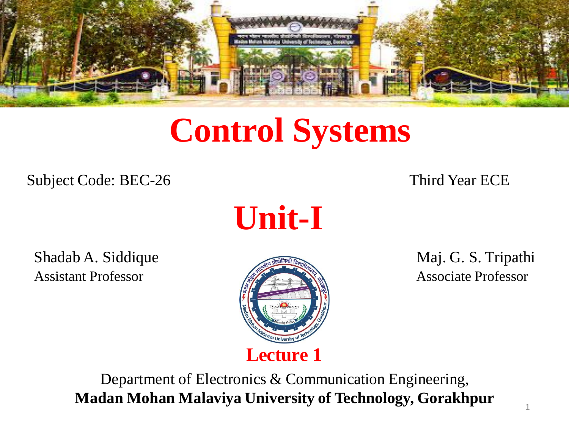

## **Control Systems**

Subject Code: BEC-26 Third Year ECE

**Unit-I**

Shadab A. Siddique **Maj. G. S. Tripathi** Assistant Professor **Associate Professor** Associate Professor



Department of Electronics & Communication Engineering, **Madan Mohan Malaviya University of Technology, Gorakhpur**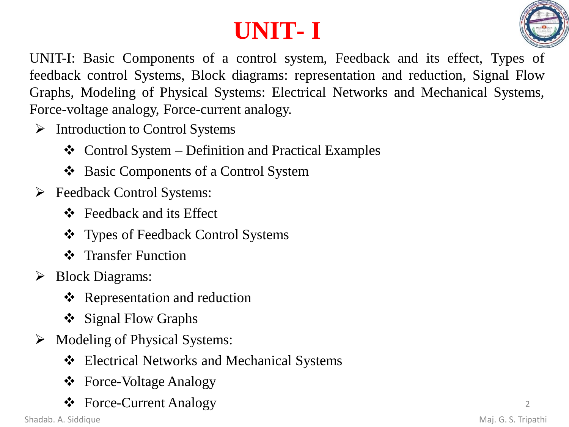## **UNIT- I**



UNIT-I: Basic Components of a control system, Feedback and its effect, Types of feedback control Systems, Block diagrams: representation and reduction, Signal Flow Graphs, Modeling of Physical Systems: Electrical Networks and Mechanical Systems, Force-voltage analogy, Force-current analogy.

- ➢ Introduction to Control Systems
	- $\triangleleft$  Control System Definition and Practical Examples
	- ❖ Basic Components of a Control System
- ➢ Feedback Control Systems:
	- ❖ Feedback and its Effect
	- ❖ Types of Feedback Control Systems
	- ❖ Transfer Function
- ➢ Block Diagrams:
	- ❖ Representation and reduction
	- ❖ Signal Flow Graphs
- ➢ Modeling of Physical Systems:
	- ❖ Electrical Networks and Mechanical Systems
	- ❖ Force-Voltage Analogy
	- ❖ Force-Current Analogy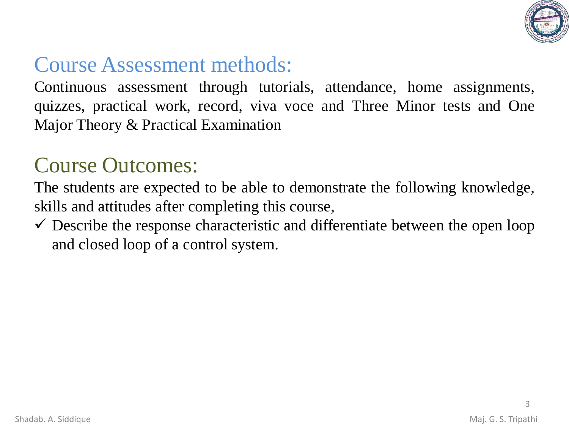

### Course Assessment methods:

Continuous assessment through tutorials, attendance, home assignments, quizzes, practical work, record, viva voce and Three Minor tests and One Major Theory & Practical Examination

#### Course Outcomes:

The students are expected to be able to demonstrate the following knowledge, skills and attitudes after completing this course,

 $\checkmark$  Describe the response characteristic and differentiate between the open loop and closed loop of a control system.

3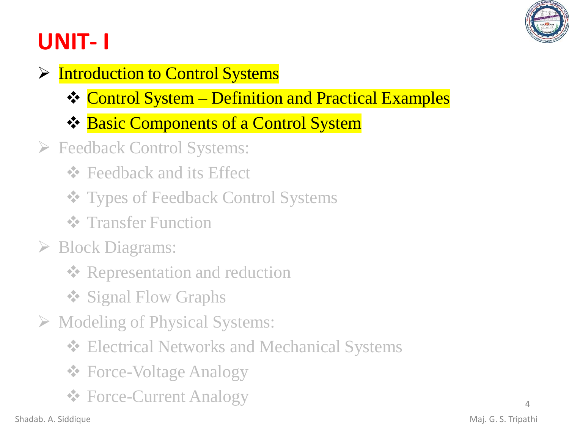

## **UNIT- I**

- ➢ Introduction to Control Systems
	- ❖ Control System Definition and Practical Examples
	- ❖ Basic Components of a Control System
- ➢ Feedback Control Systems:
	- **❖** Feedback and its Effect
	- ❖ Types of Feedback Control Systems
	- **❖** Transfer Function
- ➢ Block Diagrams:
	- **❖ Representation and reduction**
	- ❖ Signal Flow Graphs
- ➢ Modeling of Physical Systems:
	- ❖ Electrical Networks and Mechanical Systems
	- ❖ Force-Voltage Analogy
	- ❖ Force-Current Analogy <sup>4</sup>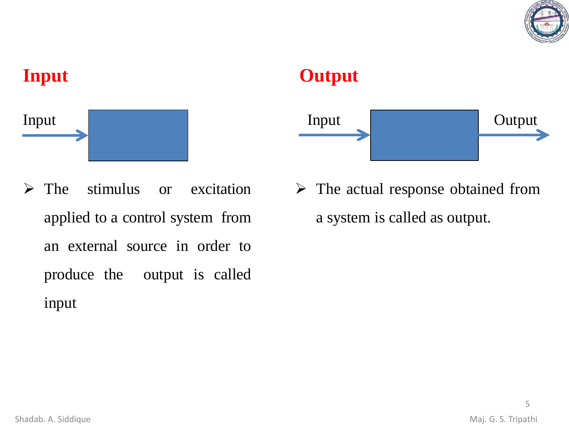

# **Input** Input

#### **Output**



- ➢ The stimulus or excitation applied to a control system from an external source in order to produce the output is called input
- $\triangleright$  The actual response obtained from a system is called as output.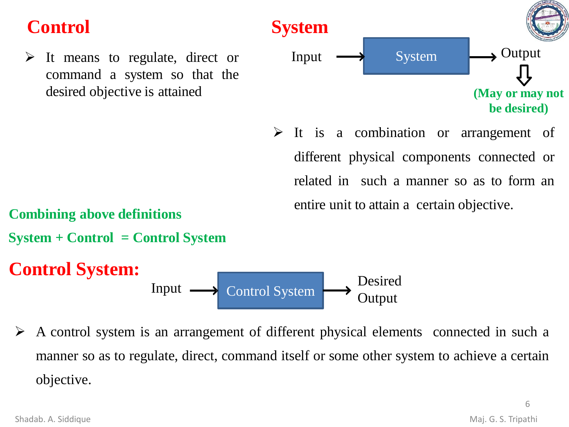#### **Control**

 $\triangleright$  It means to regulate, direct or command a system so that the desired objective is attained



➢ It is a combination or arrangement of different physical components connected or related in such a manner so as to form an entire unit to attain a certain objective.

**Combining above definitions**

**System + Control = Control System**

#### **Control System:**

Input Desired Control System  $\rightarrow$  Output

➢ A control system is an arrangement of different physical elements connected in such a manner so as to regulate, direct, command itself or some other system to achieve a certain objective.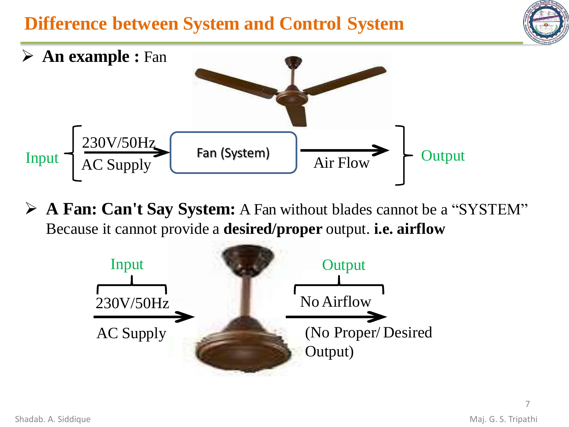#### **Difference between System and Control System**





➢ **A Fan: Can't Say System:** A Fan without blades cannot be a "SYSTEM" Because it cannot provide a **desired/proper** output. **i.e. airflow**

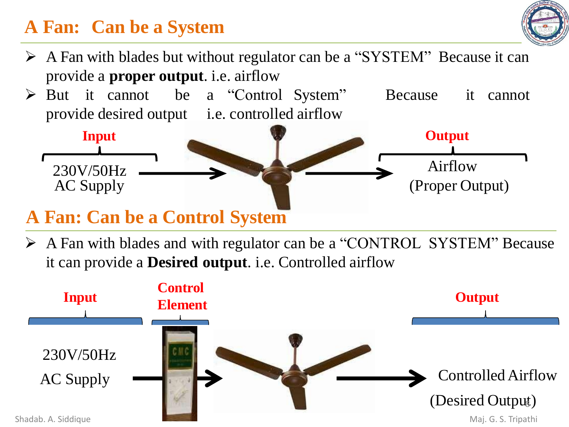#### **A Fan: Can be a System**



- ➢ A Fan with blades but without regulator can be a "SYSTEM" Because it can provide a **proper output**. i.e. airflow
- ➢ But it cannot be a "Control System" Because it cannot provide desired output i.e. controlled airflow



#### **A Fan: Can be a Control System**

➢ A Fan with blades and with regulator can be a "CONTROL SYSTEM" Because it can provide a **Desired output**. i.e. Controlled airflow